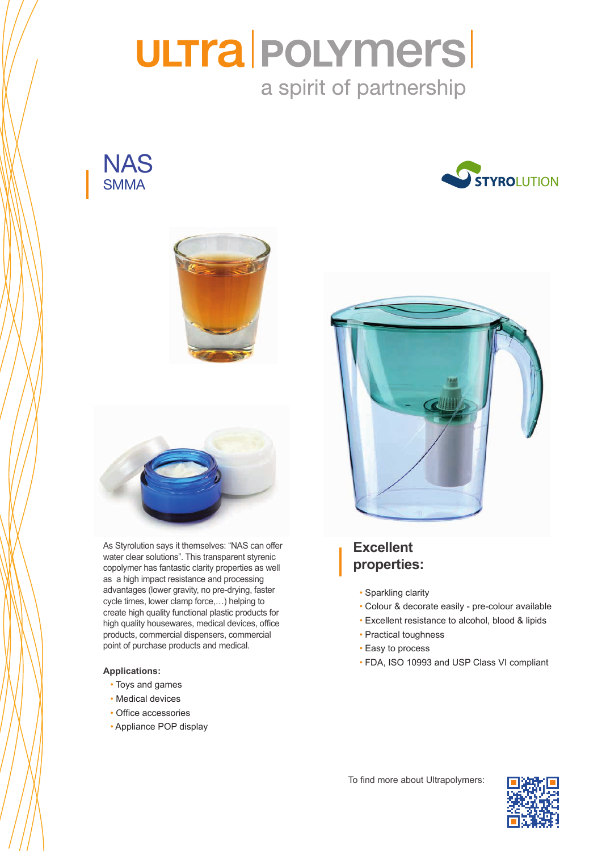## **ULTra | POLYMErs|** a spirit of partnership









cycle times, lower clamp force,...) helping to create high quality functional plastic products for<br>high value of the series of the series of the series of the series of the series of the series of the series o vices towards the market. The Lustran/ products, commercial dispensers, commercial point of purchase products and medical. As Styrolution says it themselves: "NAS can offer water clear solutions". This transparent styrenic copolymer has fantastic clarity properties as well as a high impact resistance and processing advantages (lower gravity, no pre-drying, faster high quality housewares, medical devices, office

## $\mathsf{Applications:}$

- Toys and games
- medical devices • Medical devices
- **Dring acces** • Office accessories
- Appliance POP display



## **Excellent** Pre coloured + special measures (UV, laser marking,…) **properties:**

- $\sum_{i=1}^n$ • Sparkling clarity
- Colour & decorate easily pre-colour available
- Excellent resistance to alcohol, blood & lipids
- Practical toughness
- Easy to process
- FDA, ISO 10993 and USP Class VI compliant